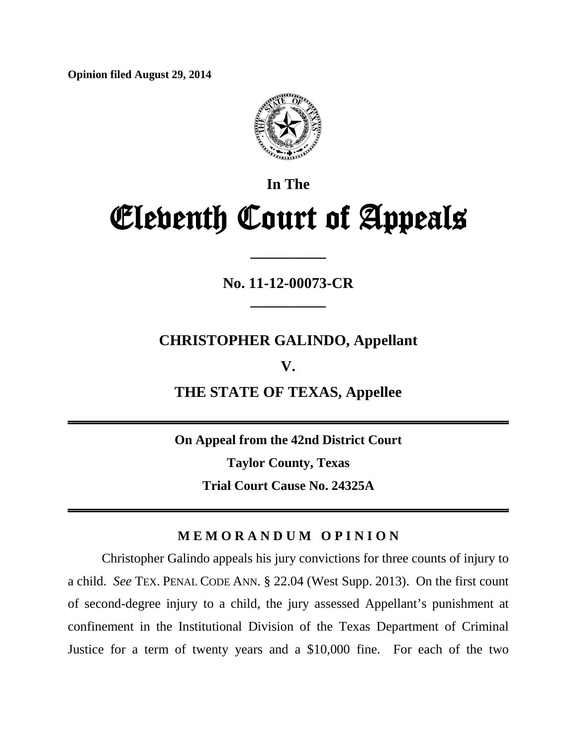**Opinion filed August 29, 2014**



# **In The** Eleventh Court of Appeals

**No. 11-12-00073-CR \_\_\_\_\_\_\_\_\_\_**

**\_\_\_\_\_\_\_\_\_\_**

**CHRISTOPHER GALINDO, Appellant**

**V.** 

**THE STATE OF TEXAS, Appellee**

**On Appeal from the 42nd District Court Taylor County, Texas Trial Court Cause No. 24325A** 

## **M E M O R A N D U M O P I N I O N**

<span id="page-0-0"></span>Christopher Galindo appeals his jury convictions for three counts of injury to a child. *See* TEX. PENAL CODE ANN. § 22.04 (West Supp. 2013). On the first count of second-degree injury to a child, the jury assessed Appellant's punishment at confinement in the Institutional Division of the Texas Department of Criminal Justice for a term of twenty years and a \$10,000 fine. For each of the two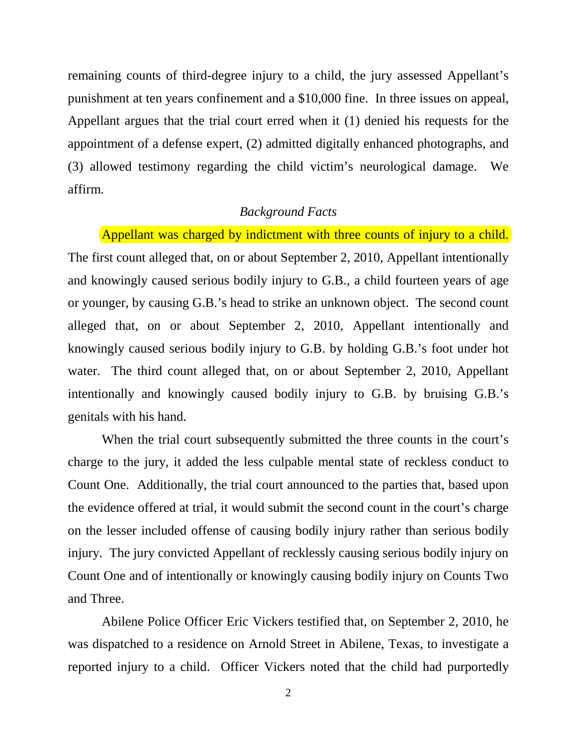remaining counts of third-degree injury to a child, the jury assessed Appellant's punishment at ten years confinement and a \$10,000 fine. In three issues on appeal, Appellant argues that the trial court erred when it (1) denied his requests for the appointment of a defense expert, (2) admitted digitally enhanced photographs, and (3) allowed testimony regarding the child victim's neurological damage. We affirm.

#### *Background Facts*

Appellant was charged by indictment with three counts of injury to a child. The first count alleged that, on or about September 2, 2010, Appellant intentionally and knowingly caused serious bodily injury to G.B., a child fourteen years of age or younger, by causing G.B.'s head to strike an unknown object. The second count alleged that, on or about September 2, 2010, Appellant intentionally and knowingly caused serious bodily injury to G.B. by holding G.B.'s foot under hot water. The third count alleged that, on or about September 2, 2010, Appellant intentionally and knowingly caused bodily injury to G.B. by bruising G.B.'s genitals with his hand.

When the trial court subsequently submitted the three counts in the court's charge to the jury, it added the less culpable mental state of reckless conduct to Count One. Additionally, the trial court announced to the parties that, based upon the evidence offered at trial, it would submit the second count in the court's charge on the lesser included offense of causing bodily injury rather than serious bodily injury. The jury convicted Appellant of recklessly causing serious bodily injury on Count One and of intentionally or knowingly causing bodily injury on Counts Two and Three.

Abilene Police Officer Eric Vickers testified that, on September 2, 2010, he was dispatched to a residence on Arnold Street in Abilene, Texas, to investigate a reported injury to a child. Officer Vickers noted that the child had purportedly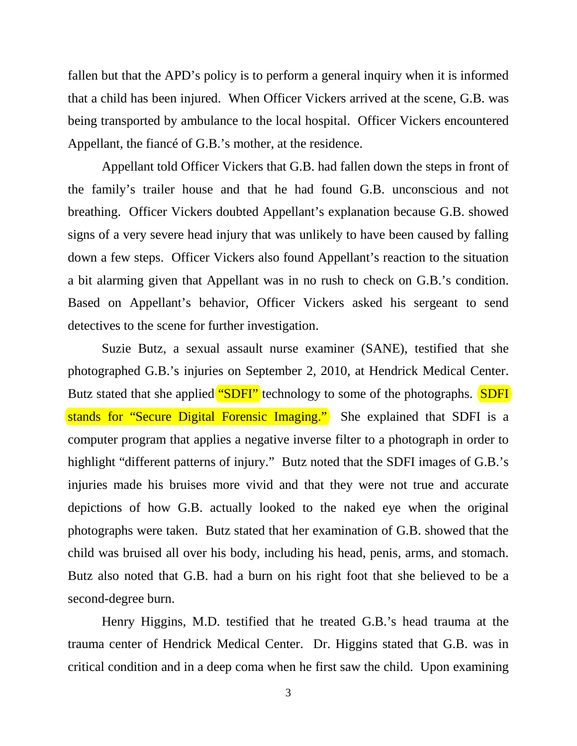fallen but that the APD's policy is to perform a general inquiry when it is informed that a child has been injured. When Officer Vickers arrived at the scene, G.B. was being transported by ambulance to the local hospital. Officer Vickers encountered Appellant, the fiancé of G.B.'s mother, at the residence.

Appellant told Officer Vickers that G.B. had fallen down the steps in front of the family's trailer house and that he had found G.B. unconscious and not breathing. Officer Vickers doubted Appellant's explanation because G.B. showed signs of a very severe head injury that was unlikely to have been caused by falling down a few steps. Officer Vickers also found Appellant's reaction to the situation a bit alarming given that Appellant was in no rush to check on G.B.'s condition. Based on Appellant's behavior, Officer Vickers asked his sergeant to send detectives to the scene for further investigation.

Suzie Butz, a sexual assault nurse examiner (SANE), testified that she photographed G.B.'s injuries on September 2, 2010, at Hendrick Medical Center. Butz stated that she applied "SDFI" technology to some of the photographs. SDFI stands for "Secure Digital Forensic Imaging." She explained that SDFI is a computer program that applies a negative inverse filter to a photograph in order to highlight "different patterns of injury." Butz noted that the SDFI images of G.B.'s injuries made his bruises more vivid and that they were not true and accurate depictions of how G.B. actually looked to the naked eye when the original photographs were taken. Butz stated that her examination of G.B. showed that the child was bruised all over his body, including his head, penis, arms, and stomach. Butz also noted that G.B. had a burn on his right foot that she believed to be a second-degree burn.

Henry Higgins, M.D. testified that he treated G.B.'s head trauma at the trauma center of Hendrick Medical Center. Dr. Higgins stated that G.B. was in critical condition and in a deep coma when he first saw the child. Upon examining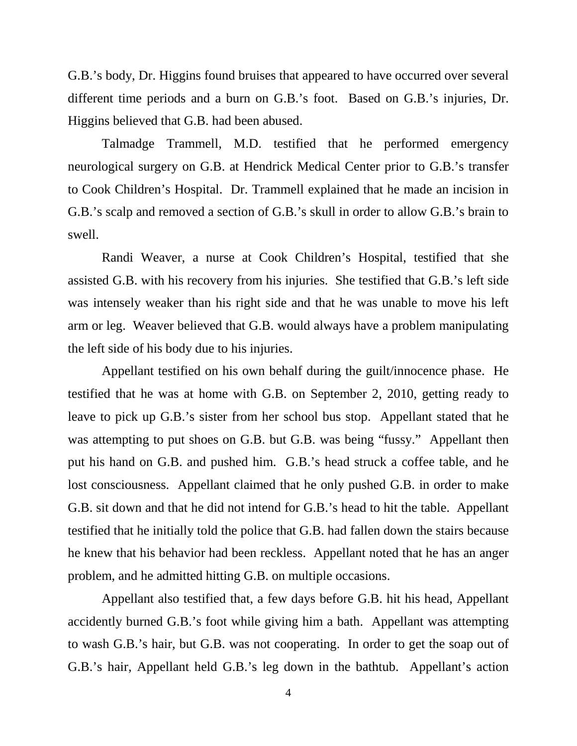G.B.'s body, Dr. Higgins found bruises that appeared to have occurred over several different time periods and a burn on G.B.'s foot. Based on G.B.'s injuries, Dr. Higgins believed that G.B. had been abused.

Talmadge Trammell, M.D. testified that he performed emergency neurological surgery on G.B. at Hendrick Medical Center prior to G.B.'s transfer to Cook Children's Hospital. Dr. Trammell explained that he made an incision in G.B.'s scalp and removed a section of G.B.'s skull in order to allow G.B.'s brain to swell.

Randi Weaver, a nurse at Cook Children's Hospital, testified that she assisted G.B. with his recovery from his injuries. She testified that G.B.'s left side was intensely weaker than his right side and that he was unable to move his left arm or leg. Weaver believed that G.B. would always have a problem manipulating the left side of his body due to his injuries.

Appellant testified on his own behalf during the guilt/innocence phase. He testified that he was at home with G.B. on September 2, 2010, getting ready to leave to pick up G.B.'s sister from her school bus stop. Appellant stated that he was attempting to put shoes on G.B. but G.B. was being "fussy." Appellant then put his hand on G.B. and pushed him. G.B.'s head struck a coffee table, and he lost consciousness. Appellant claimed that he only pushed G.B. in order to make G.B. sit down and that he did not intend for G.B.'s head to hit the table. Appellant testified that he initially told the police that G.B. had fallen down the stairs because he knew that his behavior had been reckless. Appellant noted that he has an anger problem, and he admitted hitting G.B. on multiple occasions.

Appellant also testified that, a few days before G.B. hit his head, Appellant accidently burned G.B.'s foot while giving him a bath. Appellant was attempting to wash G.B.'s hair, but G.B. was not cooperating. In order to get the soap out of G.B.'s hair, Appellant held G.B.'s leg down in the bathtub. Appellant's action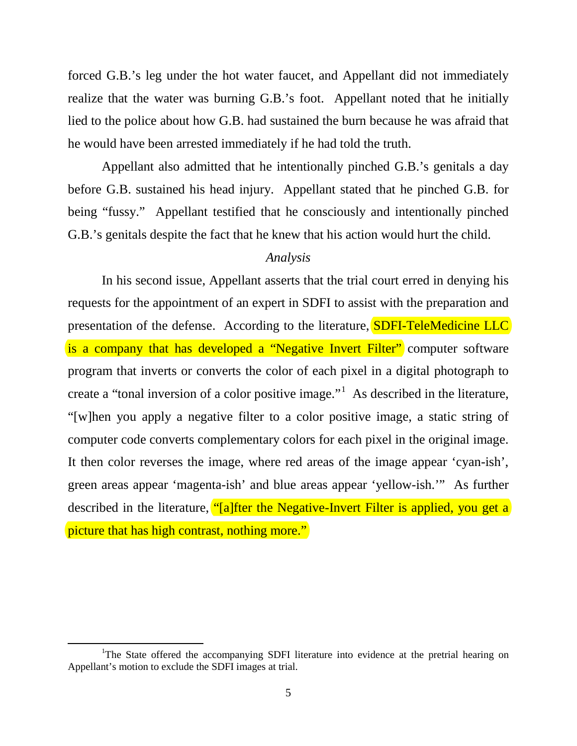forced G.B.'s leg under the hot water faucet, and Appellant did not immediately realize that the water was burning G.B.'s foot. Appellant noted that he initially lied to the police about how G.B. had sustained the burn because he was afraid that he would have been arrested immediately if he had told the truth.

Appellant also admitted that he intentionally pinched G.B.'s genitals a day before G.B. sustained his head injury. Appellant stated that he pinched G.B. for being "fussy." Appellant testified that he consciously and intentionally pinched G.B.'s genitals despite the fact that he knew that his action would hurt the child.

#### *Analysis*

In his second issue, Appellant asserts that the trial court erred in denying his requests for the appointment of an expert in SDFI to assist with the preparation and presentation of the defense. According to the literature, **SDFI-TeleMedicine LLC** is a company that has developed a "Negative Invert Filter" computer software program that inverts or converts the color of each pixel in a digital photograph to create a "tonal inversion of a color positive image."<sup>[1](#page-0-0)</sup> As described in the literature, "[w]hen you apply a negative filter to a color positive image, a static string of computer code converts complementary colors for each pixel in the original image. It then color reverses the image, where red areas of the image appear 'cyan-ish', green areas appear 'magenta-ish' and blue areas appear 'yellow-ish.'" As further described in the literature, "[a]fter the Negative-Invert Filter is applied, you get a] picture that has high contrast, nothing more."

<span id="page-4-0"></span>l

<sup>&</sup>lt;sup>1</sup>The State offered the accompanying SDFI literature into evidence at the pretrial hearing on Appellant's motion to exclude the SDFI images at trial.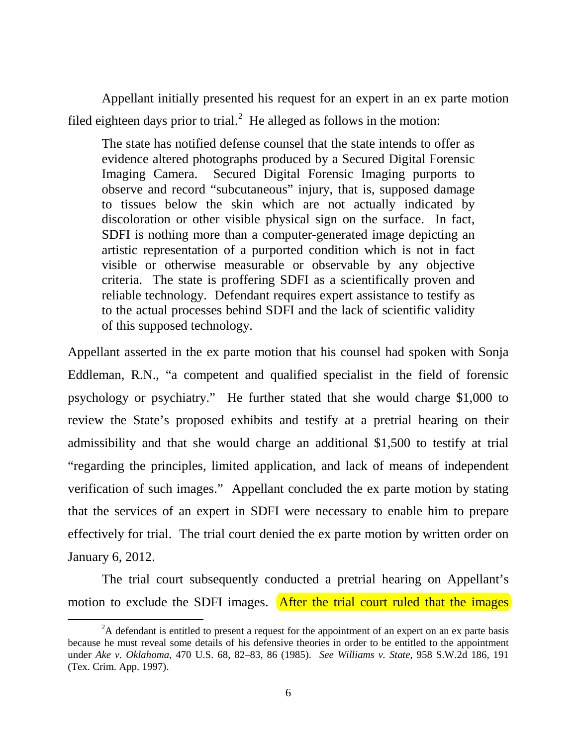Appellant initially presented his request for an expert in an ex parte motion filed eighteen days prior to trial.<sup>[2](#page-4-0)</sup> He alleged as follows in the motion:

The state has notified defense counsel that the state intends to offer as evidence altered photographs produced by a Secured Digital Forensic Imaging Camera. Secured Digital Forensic Imaging purports to observe and record "subcutaneous" injury, that is, supposed damage to tissues below the skin which are not actually indicated by discoloration or other visible physical sign on the surface. In fact, SDFI is nothing more than a computer-generated image depicting an artistic representation of a purported condition which is not in fact visible or otherwise measurable or observable by any objective criteria. The state is proffering SDFI as a scientifically proven and reliable technology. Defendant requires expert assistance to testify as to the actual processes behind SDFI and the lack of scientific validity of this supposed technology.

Appellant asserted in the ex parte motion that his counsel had spoken with Sonja Eddleman, R.N., "a competent and qualified specialist in the field of forensic psychology or psychiatry." He further stated that she would charge \$1,000 to review the State's proposed exhibits and testify at a pretrial hearing on their admissibility and that she would charge an additional \$1,500 to testify at trial "regarding the principles, limited application, and lack of means of independent verification of such images." Appellant concluded the ex parte motion by stating that the services of an expert in SDFI were necessary to enable him to prepare effectively for trial. The trial court denied the ex parte motion by written order on January 6, 2012.

The trial court subsequently conducted a pretrial hearing on Appellant's motion to exclude the SDFI images. After the trial court ruled that the images

 $\overline{\phantom{a}}$ 

<span id="page-5-0"></span> $2A$  defendant is entitled to present a request for the appointment of an expert on an ex parte basis because he must reveal some details of his defensive theories in order to be entitled to the appointment under *Ake v. Oklahoma*, 470 U.S. 68, 82–83, 86 (1985). *See Williams v. State*, 958 S.W.2d 186, 191 (Tex. Crim. App. 1997).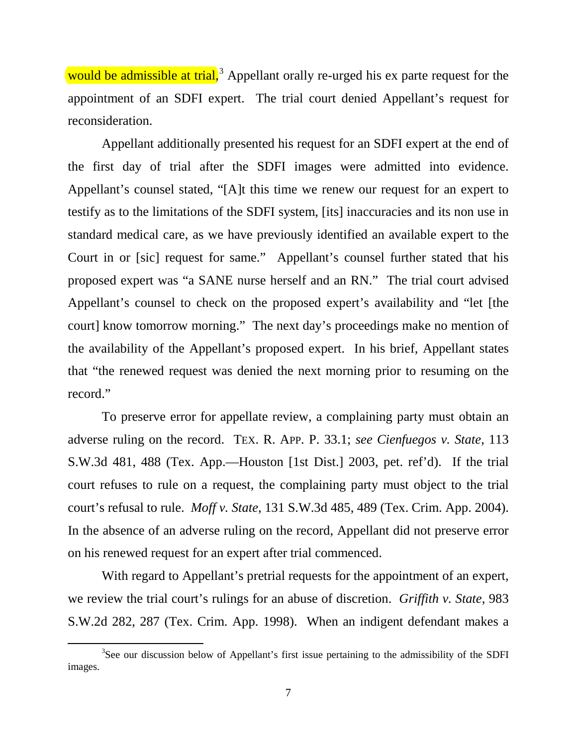would be admissible at trial,<sup>[3](#page-5-0)</sup> Appellant orally re-urged his ex parte request for the appointment of an SDFI expert. The trial court denied Appellant's request for reconsideration.

Appellant additionally presented his request for an SDFI expert at the end of the first day of trial after the SDFI images were admitted into evidence. Appellant's counsel stated, "[A]t this time we renew our request for an expert to testify as to the limitations of the SDFI system, [its] inaccuracies and its non use in standard medical care, as we have previously identified an available expert to the Court in or [sic] request for same." Appellant's counsel further stated that his proposed expert was "a SANE nurse herself and an RN." The trial court advised Appellant's counsel to check on the proposed expert's availability and "let [the court] know tomorrow morning." The next day's proceedings make no mention of the availability of the Appellant's proposed expert. In his brief, Appellant states that "the renewed request was denied the next morning prior to resuming on the record."

 To preserve error for appellate review, a complaining party must obtain an adverse ruling on the record. TEX. R. APP. P. 33.1; *see Cienfuegos v. State*, 113 S.W.3d 481, 488 (Tex. App.—Houston [1st Dist.] 2003, pet. ref'd). If the trial court refuses to rule on a request, the complaining party must object to the trial court's refusal to rule. *Moff v. State*, 131 S.W.3d 485, 489 (Tex. Crim. App. 2004). In the absence of an adverse ruling on the record, Appellant did not preserve error on his renewed request for an expert after trial commenced.

With regard to Appellant's pretrial requests for the appointment of an expert, we review the trial court's rulings for an abuse of discretion. *Griffith v. State*, 983 S.W.2d 282, 287 (Tex. Crim. App. 1998). When an indigent defendant makes a

l

<span id="page-6-0"></span><sup>&</sup>lt;sup>3</sup>See our discussion below of Appellant's first issue pertaining to the admissibility of the SDFI images.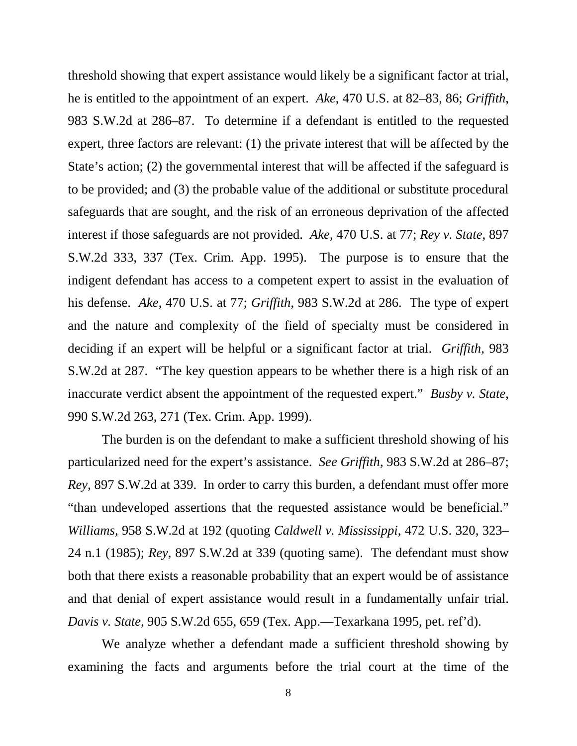threshold showing that expert assistance would likely be a significant factor at trial, he is entitled to the appointment of an expert. *Ake*, 470 U.S. at 82–83, 86; *Griffith*, 983 S.W.2d at 286–87. To determine if a defendant is entitled to the requested expert, three factors are relevant: (1) the private interest that will be affected by the State's action; (2) the governmental interest that will be affected if the safeguard is to be provided; and (3) the probable value of the additional or substitute procedural safeguards that are sought, and the risk of an erroneous deprivation of the affected interest if those safeguards are not provided. *Ake*, 470 U.S. at 77; *Rey v. State*, 897 S.W.2d 333, 337 (Tex. Crim. App. 1995). The purpose is to ensure that the indigent defendant has access to a competent expert to assist in the evaluation of his defense. *Ake*, 470 U.S. at 77; *Griffith*, 983 S.W.2d at 286. The type of expert and the nature and complexity of the field of specialty must be considered in deciding if an expert will be helpful or a significant factor at trial. *Griffith*, 983 S.W.2d at 287. "The key question appears to be whether there is a high risk of an inaccurate verdict absent the appointment of the requested expert." *Busby v. State*, 990 S.W.2d 263, 271 (Tex. Crim. App. 1999).

The burden is on the defendant to make a sufficient threshold showing of his particularized need for the expert's assistance. *See Griffith*, 983 S.W.2d at 286–87; *Rey*, 897 S.W.2d at 339. In order to carry this burden, a defendant must offer more "than undeveloped assertions that the requested assistance would be beneficial." *Williams*, 958 S.W.2d at 192 (quoting *Caldwell v. Mississippi*, 472 U.S. 320, 323– 24 n.1 (1985); *Rey*, 897 S.W.2d at 339 (quoting same). The defendant must show both that there exists a reasonable probability that an expert would be of assistance and that denial of expert assistance would result in a fundamentally unfair trial. *Davis v. State*, 905 S.W.2d 655, 659 (Tex. App.—Texarkana 1995, pet. ref'd).

We analyze whether a defendant made a sufficient threshold showing by examining the facts and arguments before the trial court at the time of the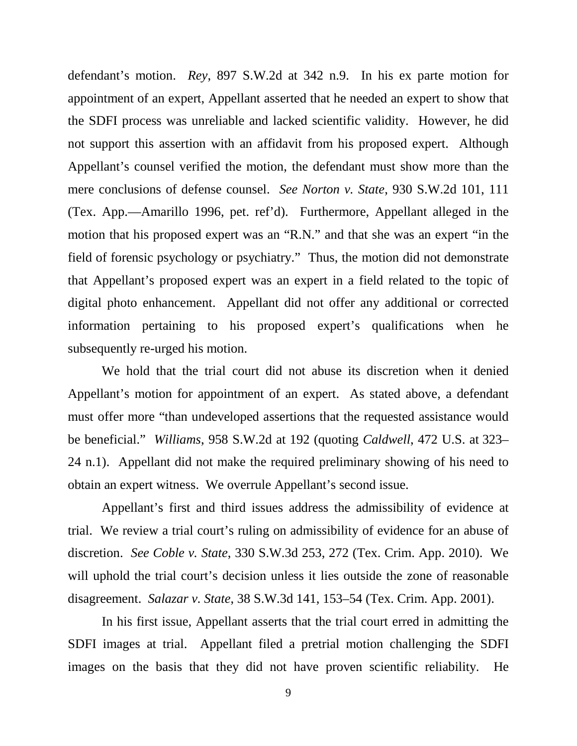defendant's motion. *Rey*, 897 S.W.2d at 342 n.9. In his ex parte motion for appointment of an expert, Appellant asserted that he needed an expert to show that the SDFI process was unreliable and lacked scientific validity. However, he did not support this assertion with an affidavit from his proposed expert. Although Appellant's counsel verified the motion, the defendant must show more than the mere conclusions of defense counsel. *See Norton v. State*, 930 S.W.2d 101, 111 (Tex. App.—Amarillo 1996, pet. ref'd). Furthermore, Appellant alleged in the motion that his proposed expert was an "R.N." and that she was an expert "in the field of forensic psychology or psychiatry." Thus, the motion did not demonstrate that Appellant's proposed expert was an expert in a field related to the topic of digital photo enhancement. Appellant did not offer any additional or corrected information pertaining to his proposed expert's qualifications when he subsequently re-urged his motion.

We hold that the trial court did not abuse its discretion when it denied Appellant's motion for appointment of an expert. As stated above, a defendant must offer more "than undeveloped assertions that the requested assistance would be beneficial." *Williams*, 958 S.W.2d at 192 (quoting *Caldwell*, 472 U.S. at 323– 24 n.1). Appellant did not make the required preliminary showing of his need to obtain an expert witness. We overrule Appellant's second issue.

Appellant's first and third issues address the admissibility of evidence at trial. We review a trial court's ruling on admissibility of evidence for an abuse of discretion. *See Coble v. State*, 330 S.W.3d 253, 272 (Tex. Crim. App. 2010). We will uphold the trial court's decision unless it lies outside the zone of reasonable disagreement. *Salazar v. State*, 38 S.W.3d 141, 153–54 (Tex. Crim. App. 2001).

In his first issue, Appellant asserts that the trial court erred in admitting the SDFI images at trial. Appellant filed a pretrial motion challenging the SDFI images on the basis that they did not have proven scientific reliability. He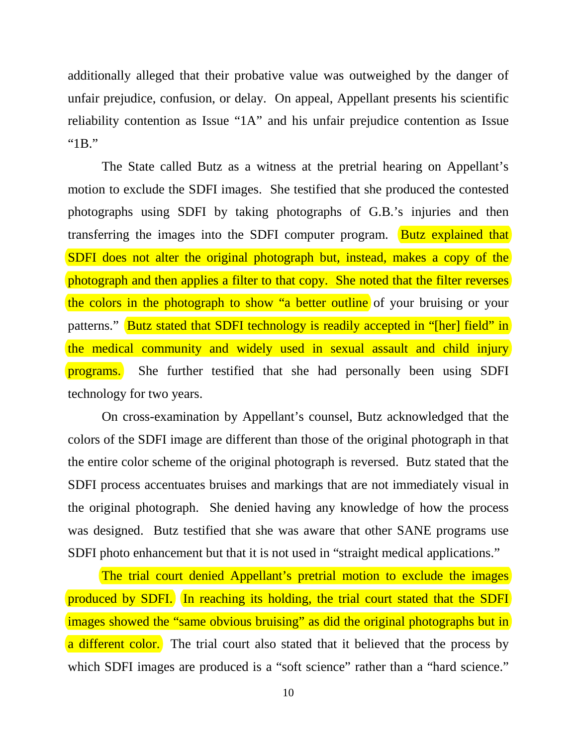additionally alleged that their probative value was outweighed by the danger of unfair prejudice, confusion, or delay. On appeal, Appellant presents his scientific reliability contention as Issue "1A" and his unfair prejudice contention as Issue "1B."

The State called Butz as a witness at the pretrial hearing on Appellant's motion to exclude the SDFI images. She testified that she produced the contested photographs using SDFI by taking photographs of G.B.'s injuries and then transferring the images into the SDFI computer program. Butz explained that SDFI does not alter the original photograph but, instead, makes a copy of the photograph and then applies a filter to that copy. She noted that the filter reverses the colors in the photograph to show "a better outline of your bruising or your patterns." Butz stated that SDFI technology is readily accepted in "[her] field" in the medical community and widely used in sexual assault and child injury programs. She further testified that she had personally been using SDFI technology for two years.

On cross-examination by Appellant's counsel, Butz acknowledged that the colors of the SDFI image are different than those of the original photograph in that the entire color scheme of the original photograph is reversed. Butz stated that the SDFI process accentuates bruises and markings that are not immediately visual in the original photograph. She denied having any knowledge of how the process was designed. Butz testified that she was aware that other SANE programs use SDFI photo enhancement but that it is not used in "straight medical applications."

The trial court denied Appellant's pretrial motion to exclude the images produced by SDFI. In reaching its holding, the trial court stated that the SDFI images showed the "same obvious bruising" as did the original photographs but in a different color. The trial court also stated that it believed that the process by which SDFI images are produced is a "soft science" rather than a "hard science."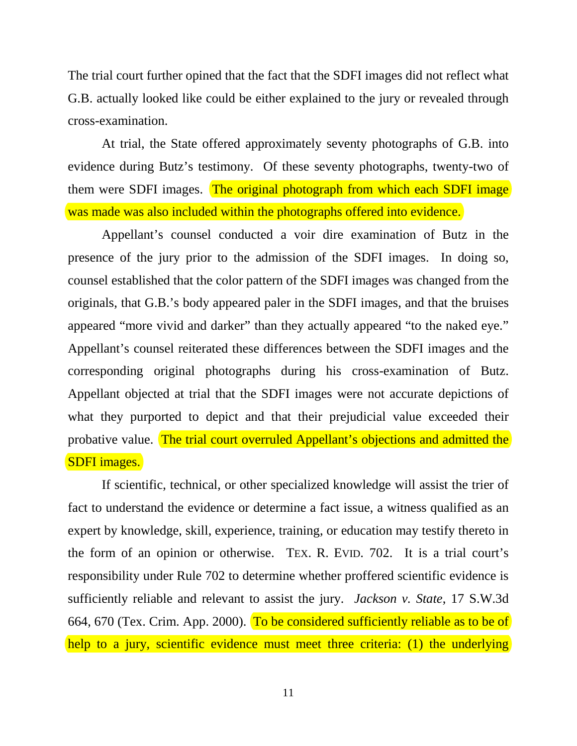The trial court further opined that the fact that the SDFI images did not reflect what G.B. actually looked like could be either explained to the jury or revealed through cross-examination.

At trial, the State offered approximately seventy photographs of G.B. into evidence during Butz's testimony. Of these seventy photographs, twenty-two of them were SDFI images. The original photograph from which each SDFI image was made was also included within the photographs offered into evidence.

Appellant's counsel conducted a voir dire examination of Butz in the presence of the jury prior to the admission of the SDFI images. In doing so, counsel established that the color pattern of the SDFI images was changed from the originals, that G.B.'s body appeared paler in the SDFI images, and that the bruises appeared "more vivid and darker" than they actually appeared "to the naked eye." Appellant's counsel reiterated these differences between the SDFI images and the corresponding original photographs during his cross-examination of Butz. Appellant objected at trial that the SDFI images were not accurate depictions of what they purported to depict and that their prejudicial value exceeded their probative value. The trial court overruled Appellant's objections and admitted the SDFI images.

If scientific, technical, or other specialized knowledge will assist the trier of fact to understand the evidence or determine a fact issue, a witness qualified as an expert by knowledge, skill, experience, training, or education may testify thereto in the form of an opinion or otherwise. TEX. R. EVID. 702. It is a trial court's responsibility under Rule 702 to determine whether proffered scientific evidence is sufficiently reliable and relevant to assist the jury. *Jackson v. State*, 17 S.W.3d 664, 670 (Tex. Crim. App. 2000). To be considered sufficiently reliable as to be of help to a jury, scientific evidence must meet three criteria: (1) the underlying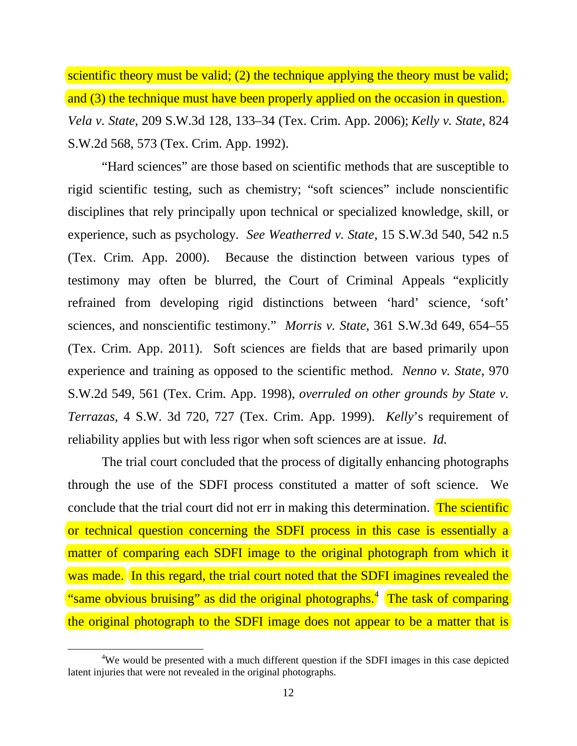scientific theory must be valid; (2) the technique applying the theory must be valid; and (3) the technique must have been properly applied on the occasion in question. *Vela v. State*, 209 S.W.3d 128, 133–34 (Tex. Crim. App. 2006); *Kelly v. State*, 824 S.W.2d 568, 573 (Tex. Crim. App. 1992).

"Hard sciences" are those based on scientific methods that are susceptible to rigid scientific testing, such as chemistry; "soft sciences" include nonscientific disciplines that rely principally upon technical or specialized knowledge, skill, or experience, such as psychology. *See Weatherred v. State*, 15 S.W.3d 540, 542 n.5 (Tex. Crim. App. 2000). Because the distinction between various types of testimony may often be blurred, the Court of Criminal Appeals "explicitly refrained from developing rigid distinctions between 'hard' science, 'soft' sciences, and nonscientific testimony." *Morris v. State*, 361 S.W.3d 649, 654–55 (Tex. Crim. App. 2011). Soft sciences are fields that are based primarily upon experience and training as opposed to the scientific method. *Nenno v. State*, 970 S.W.2d 549, 561 (Tex. Crim. App. 1998), *overruled on other grounds by State v. Terrazas*, 4 S.W. 3d 720, 727 (Tex. Crim. App. 1999). *Kelly*'s requirement of reliability applies but with less rigor when soft sciences are at issue. *Id.*

The trial court concluded that the process of digitally enhancing photographs through the use of the SDFI process constituted a matter of soft science. We conclude that the trial court did not err in making this determination. The scientific or technical question concerning the SDFI process in this case is essentially a matter of comparing each SDFI image to the original photograph from which it was made. In this regard, the trial court noted that the SDFI imagines revealed the "same obvious bruising" as did the original photographs.<sup>[4](#page-6-0)</sup> The task of comparing the original photograph to the SDFI image does not appear to be a matter that is

l

<sup>&</sup>lt;sup>4</sup>We would be presented with a much different question if the SDFI images in this case depicted latent injuries that were not revealed in the original photographs.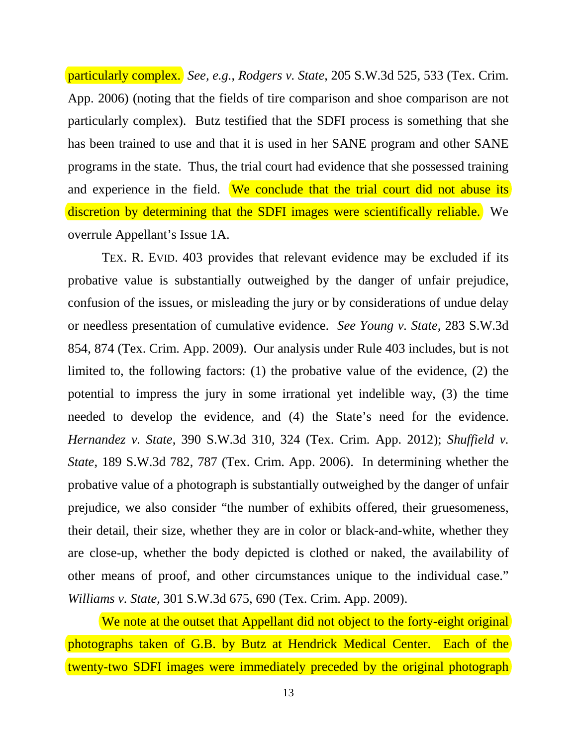particularly complex. *See, e.g.*, *Rodgers v. State*, 205 S.W.3d 525, 533 (Tex. Crim. App. 2006) (noting that the fields of tire comparison and shoe comparison are not particularly complex). Butz testified that the SDFI process is something that she has been trained to use and that it is used in her SANE program and other SANE programs in the state. Thus, the trial court had evidence that she possessed training and experience in the field. We conclude that the trial court did not abuse its discretion by determining that the SDFI images were scientifically reliable. We overrule Appellant's Issue 1A.

 TEX. R. EVID. 403 provides that relevant evidence may be excluded if its probative value is substantially outweighed by the danger of unfair prejudice, confusion of the issues, or misleading the jury or by considerations of undue delay or needless presentation of cumulative evidence. *See Young v. State*, 283 S.W.3d 854, 874 (Tex. Crim. App. 2009). Our analysis under Rule 403 includes, but is not limited to, the following factors: (1) the probative value of the evidence, (2) the potential to impress the jury in some irrational yet indelible way, (3) the time needed to develop the evidence, and (4) the State's need for the evidence. *Hernandez v. State*, 390 S.W.3d 310, 324 (Tex. Crim. App. 2012); *Shuffield v. State*, 189 S.W.3d 782, 787 (Tex. Crim. App. 2006). In determining whether the probative value of a photograph is substantially outweighed by the danger of unfair prejudice, we also consider "the number of exhibits offered, their gruesomeness, their detail, their size, whether they are in color or black-and-white, whether they are close-up, whether the body depicted is clothed or naked, the availability of other means of proof, and other circumstances unique to the individual case." *Williams v. State*, 301 S.W.3d 675, 690 (Tex. Crim. App. 2009).

We note at the outset that Appellant did not object to the forty-eight original photographs taken of G.B. by Butz at Hendrick Medical Center. Each of the twenty-two SDFI images were immediately preceded by the original photograph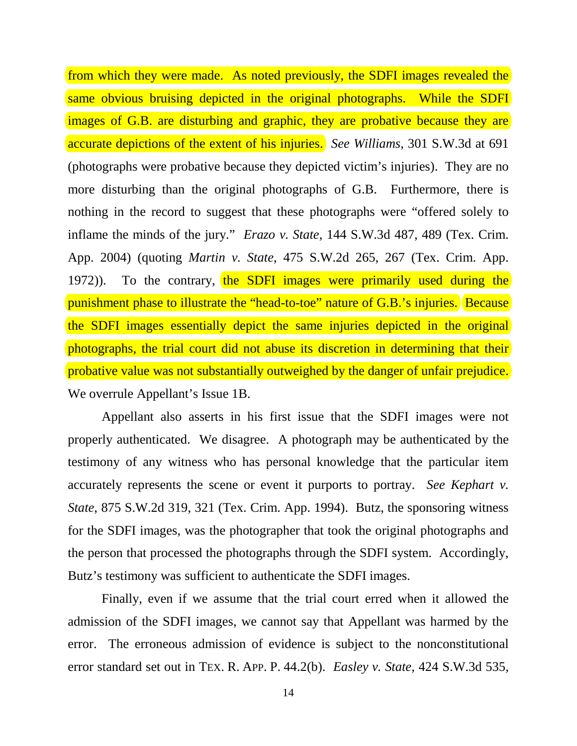from which they were made. As noted previously, the SDFI images revealed the same obvious bruising depicted in the original photographs. While the SDFI images of G.B. are disturbing and graphic, they are probative because they are accurate depictions of the extent of his injuries. *See Williams*, 301 S.W.3d at 691 (photographs were probative because they depicted victim's injuries). They are no more disturbing than the original photographs of G.B. Furthermore, there is nothing in the record to suggest that these photographs were "offered solely to inflame the minds of the jury." *Erazo v. State*, 144 S.W.3d 487, 489 (Tex. Crim. App. 2004) (quoting *Martin v. State*, 475 S.W.2d 265, 267 (Tex. Crim. App. 1972)). To the contrary, the SDFI images were primarily used during the punishment phase to illustrate the "head-to-toe" nature of G.B.'s injuries. Because the SDFI images essentially depict the same injuries depicted in the original photographs, the trial court did not abuse its discretion in determining that their probative value was not substantially outweighed by the danger of unfair prejudice. We overrule Appellant's Issue 1B.

Appellant also asserts in his first issue that the SDFI images were not properly authenticated. We disagree. A photograph may be authenticated by the testimony of any witness who has personal knowledge that the particular item accurately represents the scene or event it purports to portray. *See Kephart v. State*, 875 S.W.2d 319, 321 (Tex. Crim. App. 1994). Butz, the sponsoring witness for the SDFI images, was the photographer that took the original photographs and the person that processed the photographs through the SDFI system. Accordingly, Butz's testimony was sufficient to authenticate the SDFI images.

Finally, even if we assume that the trial court erred when it allowed the admission of the SDFI images, we cannot say that Appellant was harmed by the error. The erroneous admission of evidence is subject to the nonconstitutional error standard set out in TEX. R. APP. P. 44.2(b). *Easley v. State*, 424 S.W.3d 535,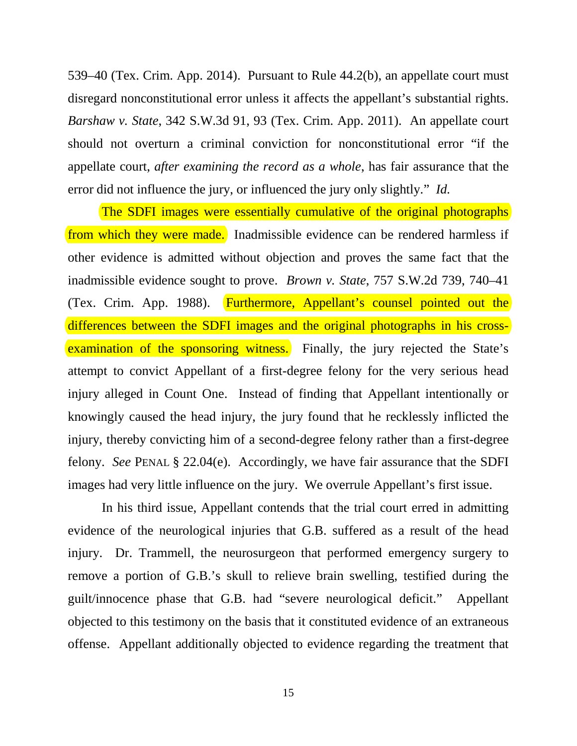539–40 (Tex. Crim. App. 2014). Pursuant to Rule 44.2(b), an appellate court must disregard nonconstitutional error unless it affects the appellant's substantial rights. *Barshaw v. State*, 342 S.W.3d 91, 93 (Tex. Crim. App. 2011). An appellate court should not overturn a criminal conviction for nonconstitutional error "if the appellate court, *after examining the record as a whole*, has fair assurance that the error did not influence the jury, or influenced the jury only slightly." *Id.*

The SDFI images were essentially cumulative of the original photographs from which they were made. Inadmissible evidence can be rendered harmless if other evidence is admitted without objection and proves the same fact that the inadmissible evidence sought to prove. *Brown v. State*, 757 S.W.2d 739, 740–41 (Tex. Crim. App. 1988). Furthermore, Appellant's counsel pointed out the differences between the SDFI images and the original photographs in his crossexamination of the sponsoring witness. Finally, the jury rejected the State's attempt to convict Appellant of a first-degree felony for the very serious head injury alleged in Count One. Instead of finding that Appellant intentionally or knowingly caused the head injury, the jury found that he recklessly inflicted the injury, thereby convicting him of a second-degree felony rather than a first-degree felony. *See* PENAL § 22.04(e). Accordingly, we have fair assurance that the SDFI images had very little influence on the jury. We overrule Appellant's first issue.

In his third issue, Appellant contends that the trial court erred in admitting evidence of the neurological injuries that G.B. suffered as a result of the head injury. Dr. Trammell, the neurosurgeon that performed emergency surgery to remove a portion of G.B.'s skull to relieve brain swelling, testified during the guilt/innocence phase that G.B. had "severe neurological deficit." Appellant objected to this testimony on the basis that it constituted evidence of an extraneous offense. Appellant additionally objected to evidence regarding the treatment that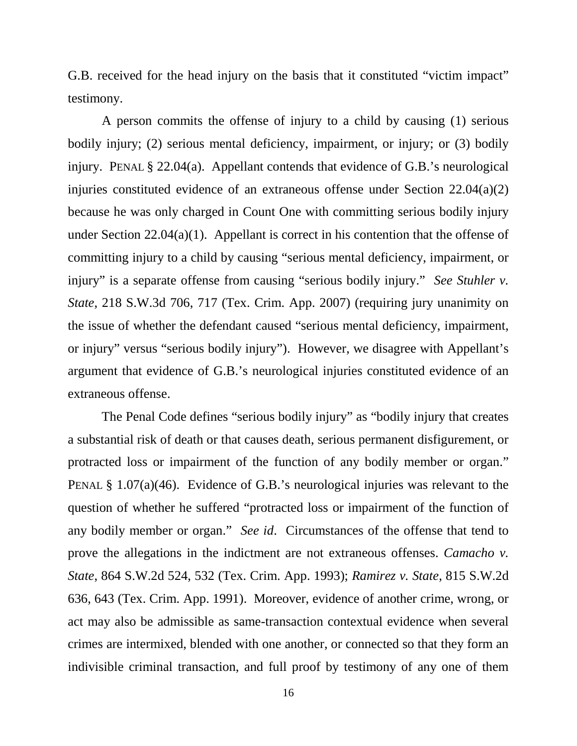G.B. received for the head injury on the basis that it constituted "victim impact" testimony.

A person commits the offense of injury to a child by causing (1) serious bodily injury; (2) serious mental deficiency, impairment, or injury; or (3) bodily injury. PENAL § 22.04(a). Appellant contends that evidence of G.B.'s neurological injuries constituted evidence of an extraneous offense under Section 22.04(a)(2) because he was only charged in Count One with committing serious bodily injury under Section 22.04(a)(1). Appellant is correct in his contention that the offense of committing injury to a child by causing "serious mental deficiency, impairment, or injury" is a separate offense from causing "serious bodily injury." *See Stuhler v. State*, 218 S.W.3d 706, 717 (Tex. Crim. App. 2007) (requiring jury unanimity on the issue of whether the defendant caused "serious mental deficiency, impairment, or injury" versus "serious bodily injury"). However, we disagree with Appellant's argument that evidence of G.B.'s neurological injuries constituted evidence of an extraneous offense.

The Penal Code defines "serious bodily injury" as "bodily injury that creates a substantial risk of death or that causes death, serious permanent disfigurement, or protracted loss or impairment of the function of any bodily member or organ." PENAL § 1.07(a)(46). Evidence of G.B.'s neurological injuries was relevant to the question of whether he suffered "protracted loss or impairment of the function of any bodily member or organ." *See id*. Circumstances of the offense that tend to prove the allegations in the indictment are not extraneous offenses. *Camacho v. State*, 864 S.W.2d 524, 532 (Tex. Crim. App. 1993); *Ramirez v. State*, 815 S.W.2d 636, 643 (Tex. Crim. App. 1991). Moreover, evidence of another crime, wrong, or act may also be admissible as same-transaction contextual evidence when several crimes are intermixed, blended with one another, or connected so that they form an indivisible criminal transaction, and full proof by testimony of any one of them